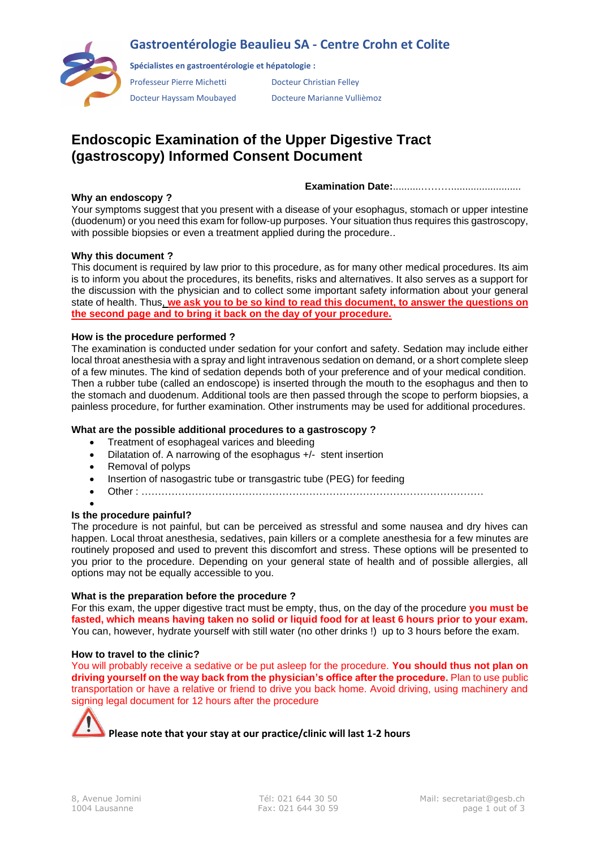## **Gastroentérologie Beaulieu SA - Centre Crohn et Colite**



**Spécialistes en gastroentérologie et hépatologie :**

Professeur Pierre Michetti Docteur Christian Felley

Docteur Hayssam Moubayed Docteure Marianne Vullièmoz

# **Endoscopic Examination of the Upper Digestive Tract (gastroscopy) Informed Consent Document**

**Examination Date:**..........……….........................

### **Why an endoscopy ?**

Your symptoms suggest that you present with a disease of your esophagus, stomach or upper intestine (duodenum) or you need this exam for follow-up purposes. Your situation thus requires this gastroscopy, with possible biopsies or even a treatment applied during the procedure..

## **Why this document ?**

This document is required by law prior to this procedure, as for many other medical procedures. Its aim is to inform you about the procedures, its benefits, risks and alternatives. It also serves as a support for the discussion with the physician and to collect some important safety information about your general state of health. Thus, **we ask you to be so kind to read this document, to answer the questions on the second page and to bring it back on the day of your procedure.**

### **How is the procedure performed ?**

The examination is conducted under sedation for your confort and safety. Sedation may include either local throat anesthesia with a spray and light intravenous sedation on demand, or a short complete sleep of a few minutes. The kind of sedation depends both of your preference and of your medical condition. Then a rubber tube (called an endoscope) is inserted through the mouth to the esophagus and then to the stomach and duodenum. Additional tools are then passed through the scope to perform biopsies, a painless procedure, for further examination. Other instruments may be used for additional procedures.

### **What are the possible additional procedures to a gastroscopy ?**

- Treatment of esophageal varices and bleeding
- Dilatation of. A narrowing of the esophagus +/- stent insertion
- Removal of polyps
- Insertion of nasogastric tube or transgastric tube (PEG) for feeding
- Other : …………………………………………………………………………………………

#### • **Is the procedure painful?**

The procedure is not painful, but can be perceived as stressful and some nausea and dry hives can happen. Local throat anesthesia, sedatives, pain killers or a complete anesthesia for a few minutes are routinely proposed and used to prevent this discomfort and stress. These options will be presented to you prior to the procedure. Depending on your general state of health and of possible allergies, all options may not be equally accessible to you.

#### **What is the preparation before the procedure ?**

For this exam, the upper digestive tract must be empty, thus, on the day of the procedure **you must be fasted, which means having taken no solid or liquid food for at least 6 hours prior to your exam.**  You can, however, hydrate yourself with still water (no other drinks !) up to 3 hours before the exam.

#### **How to travel to the clinic?**

You will probably receive a sedative or be put asleep for the procedure. **You should thus not plan on driving yourself on the way back from the physician's office after the procedure.** Plan to use public transportation or have a relative or friend to drive you back home. Avoid driving, using machinery and signing legal document for 12 hours after the procedure

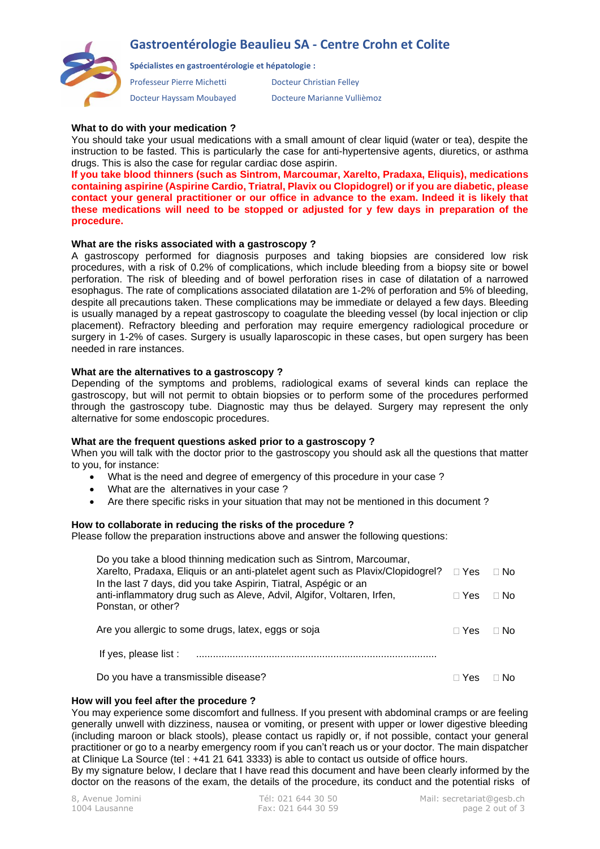## **Gastroentérologie Beaulieu SA - Centre Crohn et Colite**



**Spécialistes en gastroentérologie et hépatologie :**

Professeur Pierre Michetti Docteur Christian Felley

Docteur Hayssam Moubayed Docteure Marianne Vullièmoz

## **What to do with your medication ?**

You should take your usual medications with a small amount of clear liquid (water or tea), despite the instruction to be fasted. This is particularly the case for anti-hypertensive agents, diuretics, or asthma drugs. This is also the case for regular cardiac dose aspirin.

**If you take blood thinners (such as Sintrom, Marcoumar, Xarelto, Pradaxa, Eliquis), medications containing aspirine (Aspirine Cardio, Triatral, Plavix ou Clopidogrel) or if you are diabetic, please contact your general practitioner or our office in advance to the exam. Indeed it is likely that these medications will need to be stopped or adjusted for y few days in preparation of the procedure.**

#### **What are the risks associated with a gastroscopy ?**

A gastroscopy performed for diagnosis purposes and taking biopsies are considered low risk procedures, with a risk of 0.2% of complications, which include bleeding from a biopsy site or bowel perforation. The risk of bleeding and of bowel perforation rises in case of dilatation of a narrowed esophagus. The rate of complications associated dilatation are 1-2% of perforation and 5% of bleeding, despite all precautions taken. These complications may be immediate or delayed a few days. Bleeding is usually managed by a repeat gastroscopy to coagulate the bleeding vessel (by local injection or clip placement). Refractory bleeding and perforation may require emergency radiological procedure or surgery in 1-2% of cases. Surgery is usually laparoscopic in these cases, but open surgery has been needed in rare instances.

### **What are the alternatives to a gastroscopy ?**

Depending of the symptoms and problems, radiological exams of several kinds can replace the gastroscopy, but will not permit to obtain biopsies or to perform some of the procedures performed through the gastroscopy tube. Diagnostic may thus be delayed. Surgery may represent the only alternative for some endoscopic procedures.

#### **What are the frequent questions asked prior to a gastroscopy ?**

When you will talk with the doctor prior to the gastroscopy you should ask all the questions that matter to you, for instance:

- What is the need and degree of emergency of this procedure in your case ?
- What are the alternatives in your case ?
- Are there specific risks in your situation that may not be mentioned in this document ?

## **How to collaborate in reducing the risks of the procedure ?**

Please follow the preparation instructions above and answer the following questions:

| Do you take a blood thinning medication such as Sintrom, Marcoumar,             |              |           |
|---------------------------------------------------------------------------------|--------------|-----------|
| Xarelto, Pradaxa, Eliquis or an anti-platelet agent such as Plavix/Clopidogrel? | $\Box$ Yes   | $\Box$ No |
| In the last 7 days, did you take Aspirin, Tiatral, Aspégic or an                |              |           |
| anti-inflammatory drug such as Aleve, Advil, Algifor, Voltaren, Irfen,          | $\sqcap$ Yes | $\Box$ No |
| Ponstan, or other?                                                              |              |           |
| Are you allergic to some drugs, latex, eggs or soja                             | $\sqcap$ Yes | ⊟ No      |
|                                                                                 |              |           |
| If yes, please list :                                                           |              |           |
| Do you have a transmissible disease?                                            | ਾ Yes        | No.       |
|                                                                                 |              |           |

#### **How will you feel after the procedure ?**

You may experience some discomfort and fullness. If you present with abdominal cramps or are feeling generally unwell with dizziness, nausea or vomiting, or present with upper or lower digestive bleeding (including maroon or black stools), please contact us rapidly or, if not possible, contact your general practitioner or go to a nearby emergency room if you can't reach us or your doctor. The main dispatcher at Clinique La Source (tel : +41 21 641 3333) is able to contact us outside of office hours.

By my signature below, I declare that I have read this document and have been clearly informed by the doctor on the reasons of the exam, the details of the procedure, its conduct and the potential risks of